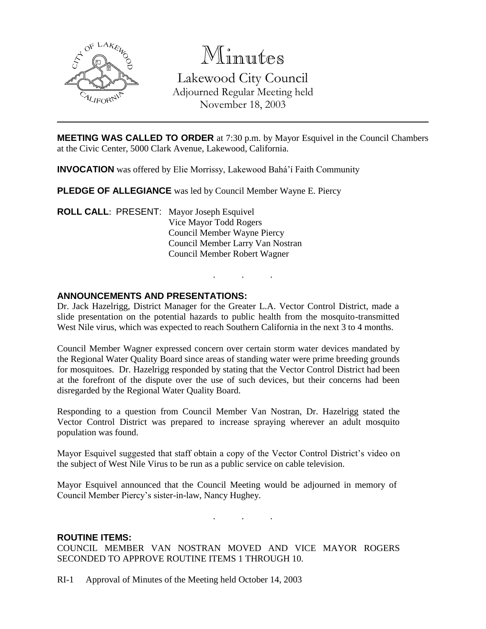

# Minutes

Lakewood City Council Adjourned Regular Meeting held November 18, 2003

**MEETING WAS CALLED TO ORDER** at 7:30 p.m. by Mayor Esquivel in the Council Chambers at the Civic Center, 5000 Clark Avenue, Lakewood, California.

**INVOCATION** was offered by Elie Morrissy, Lakewood Bahá'í Faith Community

**PLEDGE OF ALLEGIANCE** was led by Council Member Wayne E. Piercy

**ROLL CALL**: PRESENT: Mayor Joseph Esquivel Vice Mayor Todd Rogers Council Member Wayne Piercy Council Member Larry Van Nostran Council Member Robert Wagner

## **ANNOUNCEMENTS AND PRESENTATIONS:**

Dr. Jack Hazelrigg, District Manager for the Greater L.A. Vector Control District, made a slide presentation on the potential hazards to public health from the mosquito-transmitted West Nile virus, which was expected to reach Southern California in the next 3 to 4 months.

. . .

Council Member Wagner expressed concern over certain storm water devices mandated by the Regional Water Quality Board since areas of standing water were prime breeding grounds for mosquitoes. Dr. Hazelrigg responded by stating that the Vector Control District had been at the forefront of the dispute over the use of such devices, but their concerns had been disregarded by the Regional Water Quality Board.

Responding to a question from Council Member Van Nostran, Dr. Hazelrigg stated the Vector Control District was prepared to increase spraying wherever an adult mosquito population was found.

Mayor Esquivel suggested that staff obtain a copy of the Vector Control District's video on the subject of West Nile Virus to be run as a public service on cable television.

Mayor Esquivel announced that the Council Meeting would be adjourned in memory of Council Member Piercy's sister-in-law, Nancy Hughey.

. . .

### **ROUTINE ITEMS:**

COUNCIL MEMBER VAN NOSTRAN MOVED AND VICE MAYOR ROGERS SECONDED TO APPROVE ROUTINE ITEMS 1 THROUGH 10.

RI-1 Approval of Minutes of the Meeting held October 14, 2003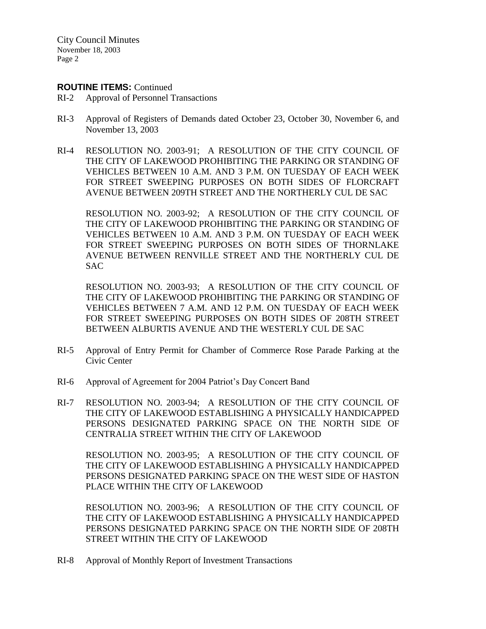#### **ROUTINE ITEMS:** Continued

- RI-2 Approval of Personnel Transactions
- RI-3 Approval of Registers of Demands dated October 23, October 30, November 6, and November 13, 2003
- RI-4 RESOLUTION NO. 2003-91; A RESOLUTION OF THE CITY COUNCIL OF THE CITY OF LAKEWOOD PROHIBITING THE PARKING OR STANDING OF VEHICLES BETWEEN 10 A.M. AND 3 P.M. ON TUESDAY OF EACH WEEK FOR STREET SWEEPING PURPOSES ON BOTH SIDES OF FLORCRAFT AVENUE BETWEEN 209TH STREET AND THE NORTHERLY CUL DE SAC

RESOLUTION NO. 2003-92; A RESOLUTION OF THE CITY COUNCIL OF THE CITY OF LAKEWOOD PROHIBITING THE PARKING OR STANDING OF VEHICLES BETWEEN 10 A.M. AND 3 P.M. ON TUESDAY OF EACH WEEK FOR STREET SWEEPING PURPOSES ON BOTH SIDES OF THORNLAKE AVENUE BETWEEN RENVILLE STREET AND THE NORTHERLY CUL DE SAC

RESOLUTION NO. 2003-93; A RESOLUTION OF THE CITY COUNCIL OF THE CITY OF LAKEWOOD PROHIBITING THE PARKING OR STANDING OF VEHICLES BETWEEN 7 A.M. AND 12 P.M. ON TUESDAY OF EACH WEEK FOR STREET SWEEPING PURPOSES ON BOTH SIDES OF 208TH STREET BETWEEN ALBURTIS AVENUE AND THE WESTERLY CUL DE SAC

- RI-5 Approval of Entry Permit for Chamber of Commerce Rose Parade Parking at the Civic Center
- RI-6 Approval of Agreement for 2004 Patriot's Day Concert Band
- RI-7 RESOLUTION NO. 2003-94; A RESOLUTION OF THE CITY COUNCIL OF THE CITY OF LAKEWOOD ESTABLISHING A PHYSICALLY HANDICAPPED PERSONS DESIGNATED PARKING SPACE ON THE NORTH SIDE OF CENTRALIA STREET WITHIN THE CITY OF LAKEWOOD

RESOLUTION NO. 2003-95; A RESOLUTION OF THE CITY COUNCIL OF THE CITY OF LAKEWOOD ESTABLISHING A PHYSICALLY HANDICAPPED PERSONS DESIGNATED PARKING SPACE ON THE WEST SIDE OF HASTON PLACE WITHIN THE CITY OF LAKEWOOD

RESOLUTION NO. 2003-96; A RESOLUTION OF THE CITY COUNCIL OF THE CITY OF LAKEWOOD ESTABLISHING A PHYSICALLY HANDICAPPED PERSONS DESIGNATED PARKING SPACE ON THE NORTH SIDE OF 208TH STREET WITHIN THE CITY OF LAKEWOOD

RI-8 Approval of Monthly Report of Investment Transactions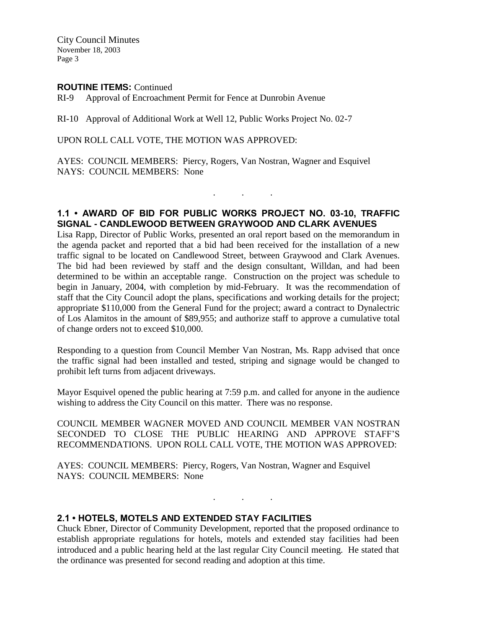#### **ROUTINE ITEMS:** Continued

RI-9 Approval of Encroachment Permit for Fence at Dunrobin Avenue

RI-10 Approval of Additional Work at Well 12, Public Works Project No. 02-7

UPON ROLL CALL VOTE, THE MOTION WAS APPROVED:

AYES: COUNCIL MEMBERS: Piercy, Rogers, Van Nostran, Wagner and Esquivel NAYS: COUNCIL MEMBERS: None

## **1.1 • AWARD OF BID FOR PUBLIC WORKS PROJECT NO. 03-10, TRAFFIC SIGNAL - CANDLEWOOD BETWEEN GRAYWOOD AND CLARK AVENUES**

. . .

Lisa Rapp, Director of Public Works, presented an oral report based on the memorandum in the agenda packet and reported that a bid had been received for the installation of a new traffic signal to be located on Candlewood Street, between Graywood and Clark Avenues. The bid had been reviewed by staff and the design consultant, Willdan, and had been determined to be within an acceptable range. Construction on the project was schedule to begin in January, 2004, with completion by mid-February. It was the recommendation of staff that the City Council adopt the plans, specifications and working details for the project; appropriate \$110,000 from the General Fund for the project; award a contract to Dynalectric of Los Alamitos in the amount of \$89,955; and authorize staff to approve a cumulative total of change orders not to exceed \$10,000.

Responding to a question from Council Member Van Nostran, Ms. Rapp advised that once the traffic signal had been installed and tested, striping and signage would be changed to prohibit left turns from adjacent driveways.

Mayor Esquivel opened the public hearing at 7:59 p.m. and called for anyone in the audience wishing to address the City Council on this matter. There was no response.

COUNCIL MEMBER WAGNER MOVED AND COUNCIL MEMBER VAN NOSTRAN SECONDED TO CLOSE THE PUBLIC HEARING AND APPROVE STAFF'S RECOMMENDATIONS. UPON ROLL CALL VOTE, THE MOTION WAS APPROVED:

AYES: COUNCIL MEMBERS: Piercy, Rogers, Van Nostran, Wagner and Esquivel NAYS: COUNCIL MEMBERS: None

### **2.1 • HOTELS, MOTELS AND EXTENDED STAY FACILITIES**

Chuck Ebner, Director of Community Development, reported that the proposed ordinance to establish appropriate regulations for hotels, motels and extended stay facilities had been introduced and a public hearing held at the last regular City Council meeting. He stated that the ordinance was presented for second reading and adoption at this time.

 $\mathbf{r}$  .  $\mathbf{r}$  ,  $\mathbf{r}$  ,  $\mathbf{r}$  ,  $\mathbf{r}$  ,  $\mathbf{r}$  ,  $\mathbf{r}$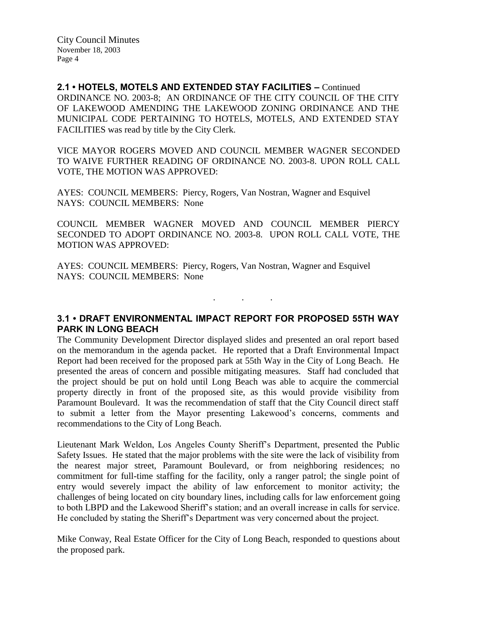**2.1 • HOTELS, MOTELS AND EXTENDED STAY FACILITIES –** Continued ORDINANCE NO. 2003-8; AN ORDINANCE OF THE CITY COUNCIL OF THE CITY OF LAKEWOOD AMENDING THE LAKEWOOD ZONING ORDINANCE AND THE MUNICIPAL CODE PERTAINING TO HOTELS, MOTELS, AND EXTENDED STAY FACILITIES was read by title by the City Clerk.

VICE MAYOR ROGERS MOVED AND COUNCIL MEMBER WAGNER SECONDED TO WAIVE FURTHER READING OF ORDINANCE NO. 2003-8. UPON ROLL CALL VOTE, THE MOTION WAS APPROVED:

AYES: COUNCIL MEMBERS: Piercy, Rogers, Van Nostran, Wagner and Esquivel NAYS: COUNCIL MEMBERS: None

COUNCIL MEMBER WAGNER MOVED AND COUNCIL MEMBER PIERCY SECONDED TO ADOPT ORDINANCE NO. 2003-8. UPON ROLL CALL VOTE, THE MOTION WAS APPROVED:

AYES: COUNCIL MEMBERS: Piercy, Rogers, Van Nostran, Wagner and Esquivel NAYS: COUNCIL MEMBERS: None

**3.1 • DRAFT ENVIRONMENTAL IMPACT REPORT FOR PROPOSED 55TH WAY PARK IN LONG BEACH**

. . .

The Community Development Director displayed slides and presented an oral report based on the memorandum in the agenda packet. He reported that a Draft Environmental Impact Report had been received for the proposed park at 55th Way in the City of Long Beach. He presented the areas of concern and possible mitigating measures. Staff had concluded that the project should be put on hold until Long Beach was able to acquire the commercial property directly in front of the proposed site, as this would provide visibility from Paramount Boulevard. It was the recommendation of staff that the City Council direct staff to submit a letter from the Mayor presenting Lakewood's concerns, comments and recommendations to the City of Long Beach.

Lieutenant Mark Weldon, Los Angeles County Sheriff's Department, presented the Public Safety Issues. He stated that the major problems with the site were the lack of visibility from the nearest major street, Paramount Boulevard, or from neighboring residences; no commitment for full-time staffing for the facility, only a ranger patrol; the single point of entry would severely impact the ability of law enforcement to monitor activity; the challenges of being located on city boundary lines, including calls for law enforcement going to both LBPD and the Lakewood Sheriff's station; and an overall increase in calls for service. He concluded by stating the Sheriff's Department was very concerned about the project.

Mike Conway, Real Estate Officer for the City of Long Beach, responded to questions about the proposed park.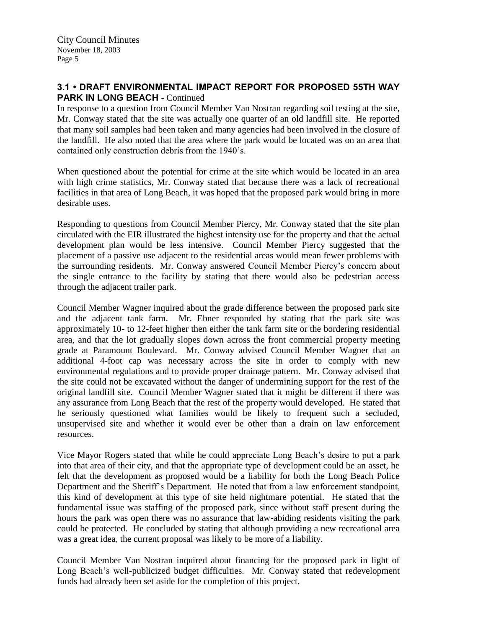# **3.1 • DRAFT ENVIRONMENTAL IMPACT REPORT FOR PROPOSED 55TH WAY PARK IN LONG BEACH - Continued**

In response to a question from Council Member Van Nostran regarding soil testing at the site, Mr. Conway stated that the site was actually one quarter of an old landfill site. He reported that many soil samples had been taken and many agencies had been involved in the closure of the landfill. He also noted that the area where the park would be located was on an area that contained only construction debris from the 1940's.

When questioned about the potential for crime at the site which would be located in an area with high crime statistics, Mr. Conway stated that because there was a lack of recreational facilities in that area of Long Beach, it was hoped that the proposed park would bring in more desirable uses.

Responding to questions from Council Member Piercy, Mr. Conway stated that the site plan circulated with the EIR illustrated the highest intensity use for the property and that the actual development plan would be less intensive. Council Member Piercy suggested that the placement of a passive use adjacent to the residential areas would mean fewer problems with the surrounding residents. Mr. Conway answered Council Member Piercy's concern about the single entrance to the facility by stating that there would also be pedestrian access through the adjacent trailer park.

Council Member Wagner inquired about the grade difference between the proposed park site and the adjacent tank farm. Mr. Ebner responded by stating that the park site was approximately 10- to 12-feet higher then either the tank farm site or the bordering residential area, and that the lot gradually slopes down across the front commercial property meeting grade at Paramount Boulevard. Mr. Conway advised Council Member Wagner that an additional 4-foot cap was necessary across the site in order to comply with new environmental regulations and to provide proper drainage pattern. Mr. Conway advised that the site could not be excavated without the danger of undermining support for the rest of the original landfill site. Council Member Wagner stated that it might be different if there was any assurance from Long Beach that the rest of the property would developed. He stated that he seriously questioned what families would be likely to frequent such a secluded, unsupervised site and whether it would ever be other than a drain on law enforcement resources.

Vice Mayor Rogers stated that while he could appreciate Long Beach's desire to put a park into that area of their city, and that the appropriate type of development could be an asset, he felt that the development as proposed would be a liability for both the Long Beach Police Department and the Sheriff's Department. He noted that from a law enforcement standpoint, this kind of development at this type of site held nightmare potential. He stated that the fundamental issue was staffing of the proposed park, since without staff present during the hours the park was open there was no assurance that law-abiding residents visiting the park could be protected. He concluded by stating that although providing a new recreational area was a great idea, the current proposal was likely to be more of a liability.

Council Member Van Nostran inquired about financing for the proposed park in light of Long Beach's well-publicized budget difficulties. Mr. Conway stated that redevelopment funds had already been set aside for the completion of this project.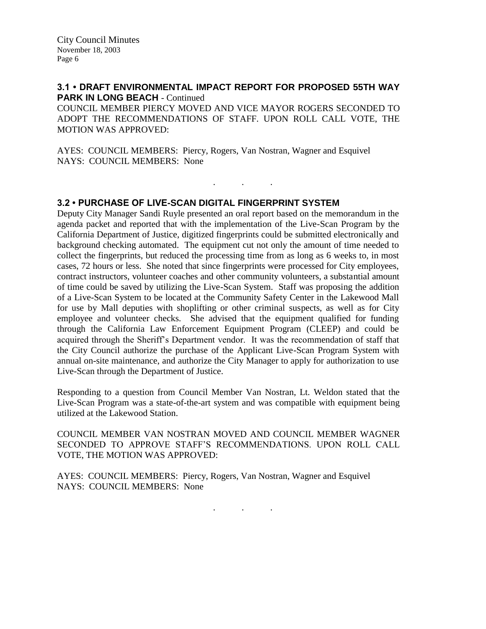# **3.1 • DRAFT ENVIRONMENTAL IMPACT REPORT FOR PROPOSED 55TH WAY PARK IN LONG BEACH - Continued**

COUNCIL MEMBER PIERCY MOVED AND VICE MAYOR ROGERS SECONDED TO ADOPT THE RECOMMENDATIONS OF STAFF. UPON ROLL CALL VOTE, THE MOTION WAS APPROVED:

. . .

AYES: COUNCIL MEMBERS: Piercy, Rogers, Van Nostran, Wagner and Esquivel NAYS: COUNCIL MEMBERS: None

### **3.2 • PURCHASE OF LIVE-SCAN DIGITAL FINGERPRINT SYSTEM**

Deputy City Manager Sandi Ruyle presented an oral report based on the memorandum in the agenda packet and reported that with the implementation of the Live-Scan Program by the California Department of Justice, digitized fingerprints could be submitted electronically and background checking automated. The equipment cut not only the amount of time needed to collect the fingerprints, but reduced the processing time from as long as 6 weeks to, in most cases, 72 hours or less. She noted that since fingerprints were processed for City employees, contract instructors, volunteer coaches and other community volunteers, a substantial amount of time could be saved by utilizing the Live-Scan System. Staff was proposing the addition of a Live-Scan System to be located at the Community Safety Center in the Lakewood Mall for use by Mall deputies with shoplifting or other criminal suspects, as well as for City employee and volunteer checks. She advised that the equipment qualified for funding through the California Law Enforcement Equipment Program (CLEEP) and could be acquired through the Sheriff's Department vendor. It was the recommendation of staff that the City Council authorize the purchase of the Applicant Live-Scan Program System with annual on-site maintenance, and authorize the City Manager to apply for authorization to use Live-Scan through the Department of Justice.

Responding to a question from Council Member Van Nostran, Lt. Weldon stated that the Live-Scan Program was a state-of-the-art system and was compatible with equipment being utilized at the Lakewood Station.

COUNCIL MEMBER VAN NOSTRAN MOVED AND COUNCIL MEMBER WAGNER SECONDED TO APPROVE STAFF'S RECOMMENDATIONS. UPON ROLL CALL VOTE, THE MOTION WAS APPROVED:

AYES: COUNCIL MEMBERS: Piercy, Rogers, Van Nostran, Wagner and Esquivel NAYS: COUNCIL MEMBERS: None

. . .